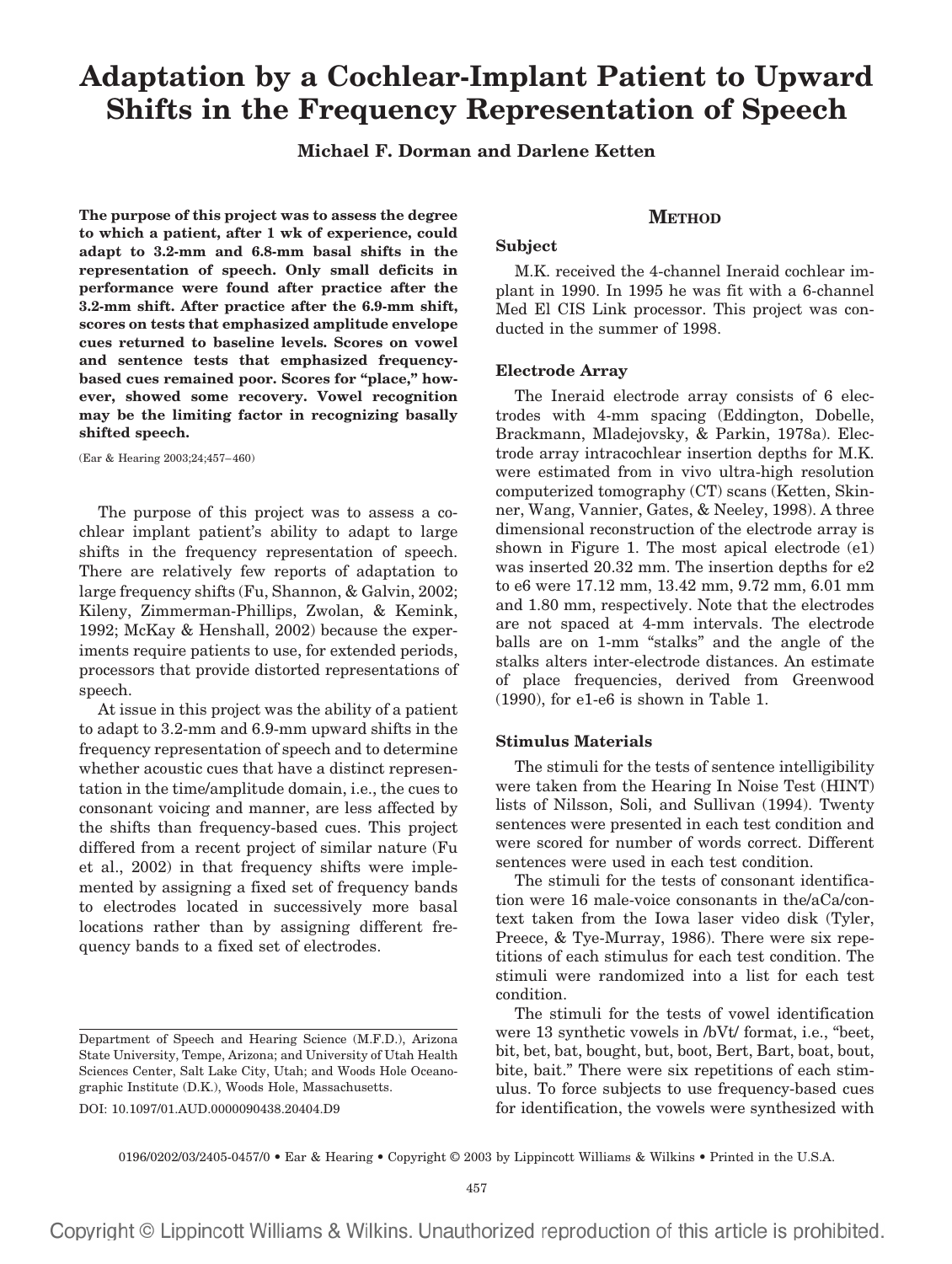# **Adaptation by a Cochlear-Implant Patient to Upward Shifts in the Frequency Representation of Speech**

# **Michael F. Dorman and Darlene Ketten**

**The purpose of this project was to assess the degree to which a patient, after 1 wk of experience, could adapt to 3.2-mm and 6.8-mm basal shifts in the representation of speech. Only small deficits in performance were found after practice after the 3.2-mm shift. After practice after the 6.9-mm shift, scores on tests that emphasized amplitude envelope cues returned to baseline levels. Scores on vowel and sentence tests that emphasized frequencybased cues remained poor. Scores for "place," however, showed some recovery. Vowel recognition may be the limiting factor in recognizing basally shifted speech.**

(Ear & Hearing 2003;24;457–460)

The purpose of this project was to assess a cochlear implant patient's ability to adapt to large shifts in the frequency representation of speech. There are relatively few reports of adaptation to large frequency shifts (Fu, Shannon, & Galvin, 2002; Kileny, Zimmerman-Phillips, Zwolan, & Kemink, 1992; McKay & Henshall, 2002) because the experiments require patients to use, for extended periods, processors that provide distorted representations of speech.

At issue in this project was the ability of a patient to adapt to 3.2-mm and 6.9-mm upward shifts in the frequency representation of speech and to determine whether acoustic cues that have a distinct representation in the time/amplitude domain, i.e., the cues to consonant voicing and manner, are less affected by the shifts than frequency-based cues. This project differed from a recent project of similar nature (Fu et al., 2002) in that frequency shifts were implemented by assigning a fixed set of frequency bands to electrodes located in successively more basal locations rather than by assigning different frequency bands to a fixed set of electrodes.

DOI: 10.1097/01.AUD.0000090438.20404.D9

# **METHOD**

## **Subject**

M.K. received the 4-channel Ineraid cochlear implant in 1990. In 1995 he was fit with a 6-channel Med El CIS Link processor. This project was conducted in the summer of 1998.

#### **Electrode Array**

The Ineraid electrode array consists of 6 electrodes with 4-mm spacing (Eddington, Dobelle, Brackmann, Mladejovsky, & Parkin, 1978a). Electrode array intracochlear insertion depths for M.K. were estimated from in vivo ultra-high resolution computerized tomography (CT) scans (Ketten, Skinner, Wang, Vannier, Gates, & Neeley, 1998). A three dimensional reconstruction of the electrode array is shown in Figure 1. The most apical electrode (e1) was inserted 20.32 mm. The insertion depths for e2 to e6 were 17.12 mm, 13.42 mm, 9.72 mm, 6.01 mm and 1.80 mm, respectively. Note that the electrodes are not spaced at 4-mm intervals. The electrode balls are on 1-mm "stalks" and the angle of the stalks alters inter-electrode distances. An estimate of place frequencies, derived from Greenwood (1990), for e1-e6 is shown in Table 1.

## **Stimulus Materials**

The stimuli for the tests of sentence intelligibility were taken from the Hearing In Noise Test (HINT) lists of Nilsson, Soli, and Sullivan (1994). Twenty sentences were presented in each test condition and were scored for number of words correct. Different sentences were used in each test condition.

The stimuli for the tests of consonant identification were 16 male-voice consonants in the/aCa/context taken from the Iowa laser video disk (Tyler, Preece, & Tye-Murray, 1986). There were six repetitions of each stimulus for each test condition. The stimuli were randomized into a list for each test condition.

The stimuli for the tests of vowel identification were 13 synthetic vowels in /bVt/ format, i.e., "beet, bit, bet, bat, bought, but, boot, Bert, Bart, boat, bout, bite, bait." There were six repetitions of each stimulus. To force subjects to use frequency-based cues for identification, the vowels were synthesized with

0196/0202/03/2405-0457/0 • Ear & Hearing • Copyright © 2003 by Lippincott Williams & Wilkins • Printed in the U.S.A.

Copyright © Lippincott Williams & Wilkins. Unauthorized reproduction of this article is prohibited.

Department of Speech and Hearing Science (M.F.D.), Arizona State University, Tempe, Arizona; and University of Utah Health Sciences Center, Salt Lake City, Utah; and Woods Hole Oceanographic Institute (D.K.), Woods Hole, Massachusetts.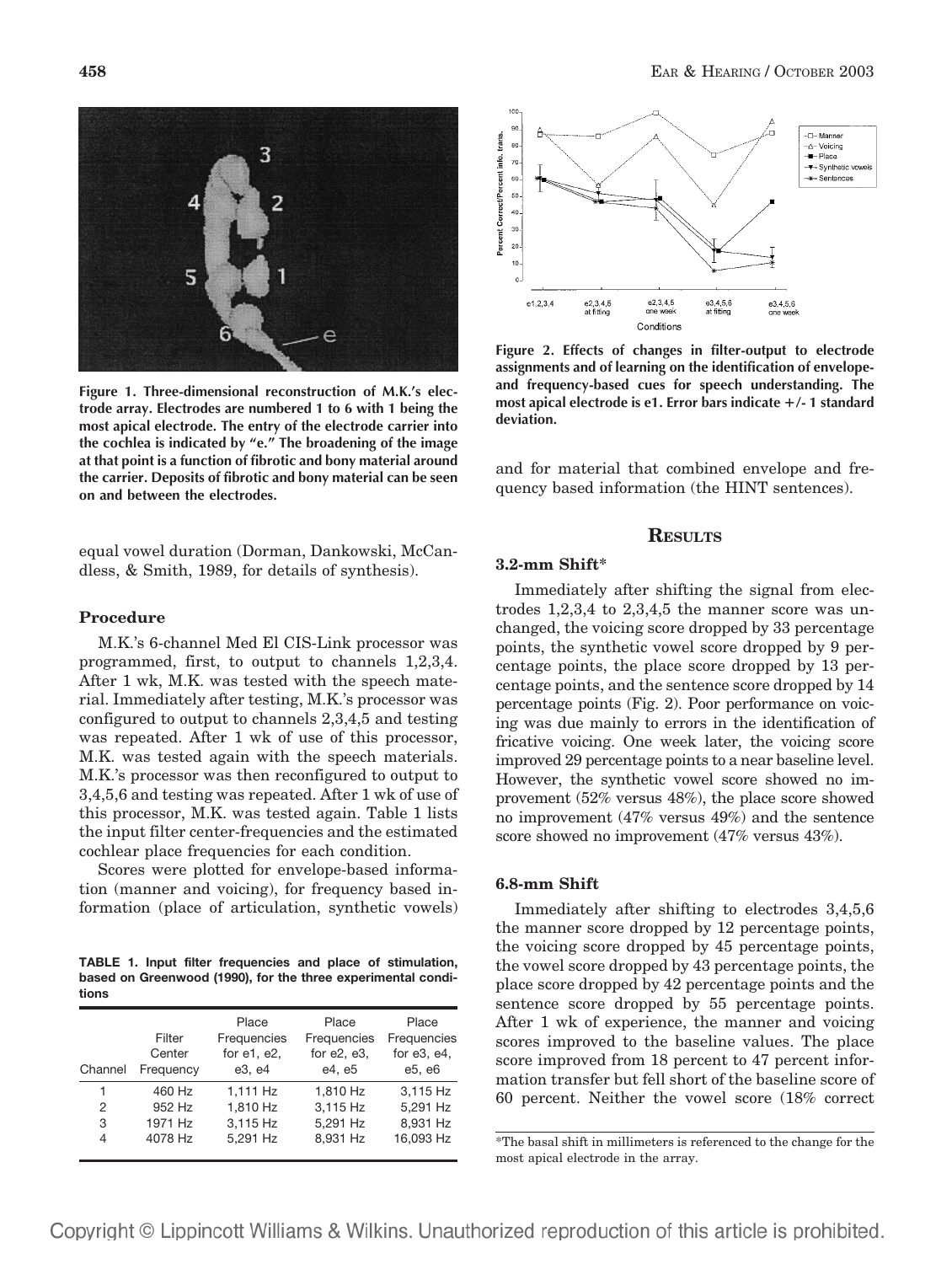**458** EAR & HEARING / OCTOBER 2003



**Figure 1. Three-dimensional reconstruction of M.K.'s electrode array. Electrodes are numbered 1 to 6 with 1 being the most apical electrode. The entry of the electrode carrier into the cochlea is indicated by "e." The broadening of the image at that point is a function of fibrotic and bony material around the carrier. Deposits of fibrotic and bony material can be seen on and between the electrodes.**

equal vowel duration (Dorman, Dankowski, McCandless, & Smith, 1989, for details of synthesis).

# **Procedure**

M.K.'s 6-channel Med El CIS-Link processor was programmed, first, to output to channels 1,2,3,4. After 1 wk, M.K. was tested with the speech material. Immediately after testing, M.K.'s processor was configured to output to channels 2,3,4,5 and testing was repeated. After 1 wk of use of this processor, M.K. was tested again with the speech materials. M.K.'s processor was then reconfigured to output to 3,4,5,6 and testing was repeated. After 1 wk of use of this processor, M.K. was tested again. Table 1 lists the input filter center-frequencies and the estimated cochlear place frequencies for each condition.

Scores were plotted for envelope-based information (manner and voicing), for frequency based information (place of articulation, synthetic vowels)

**TABLE 1. Input filter frequencies and place of stimulation, based on Greenwood (1990), for the three experimental conditions**

| Channel | Filter<br>Center<br>Frequency | Place<br>Frequencies<br>for e1, e2,<br>e3, e4 | Place<br>Frequencies<br>for $e2$ , $e3$ ,<br>e4. e5 | Place<br>Frequencies<br>for $e3, e4$ ,<br>e5, e6 |
|---------|-------------------------------|-----------------------------------------------|-----------------------------------------------------|--------------------------------------------------|
| 1       | 460 Hz                        | 1,111 Hz                                      | 1,810 Hz                                            | 3,115 Hz                                         |
| 2       | 952 Hz                        | 1,810 Hz                                      | 3,115 Hz                                            | 5,291 Hz                                         |
| 3       | 1971 Hz                       | 3,115 Hz                                      | 5,291 Hz                                            | 8,931 Hz                                         |
| 4       | 4078 Hz                       | 5.291 Hz                                      | 8.931 Hz                                            | 16,093 Hz                                        |



**Figure 2. Effects of changes in filter-output to electrode assignments and of learning on the identification of envelopeand frequency-based cues for speech understanding. The most apical electrode is e1. Error bars indicate /- 1 standard deviation.**

and for material that combined envelope and frequency based information (the HINT sentences).

## **RESULTS**

# **3.2-mm Shift\***

Immediately after shifting the signal from electrodes 1,2,3,4 to 2,3,4,5 the manner score was unchanged, the voicing score dropped by 33 percentage points, the synthetic vowel score dropped by 9 percentage points, the place score dropped by 13 percentage points, and the sentence score dropped by 14 percentage points (Fig. 2). Poor performance on voicing was due mainly to errors in the identification of fricative voicing. One week later, the voicing score improved 29 percentage points to a near baseline level. However, the synthetic vowel score showed no improvement (52% versus 48%), the place score showed no improvement (47% versus 49%) and the sentence score showed no improvement (47% versus 43%).

#### **6.8-mm Shift**

Immediately after shifting to electrodes 3,4,5,6 the manner score dropped by 12 percentage points, the voicing score dropped by 45 percentage points, the vowel score dropped by 43 percentage points, the place score dropped by 42 percentage points and the sentence score dropped by 55 percentage points. After 1 wk of experience, the manner and voicing scores improved to the baseline values. The place score improved from 18 percent to 47 percent information transfer but fell short of the baseline score of 60 percent. Neither the vowel score (18% correct

\*The basal shift in millimeters is referenced to the change for the most apical electrode in the array.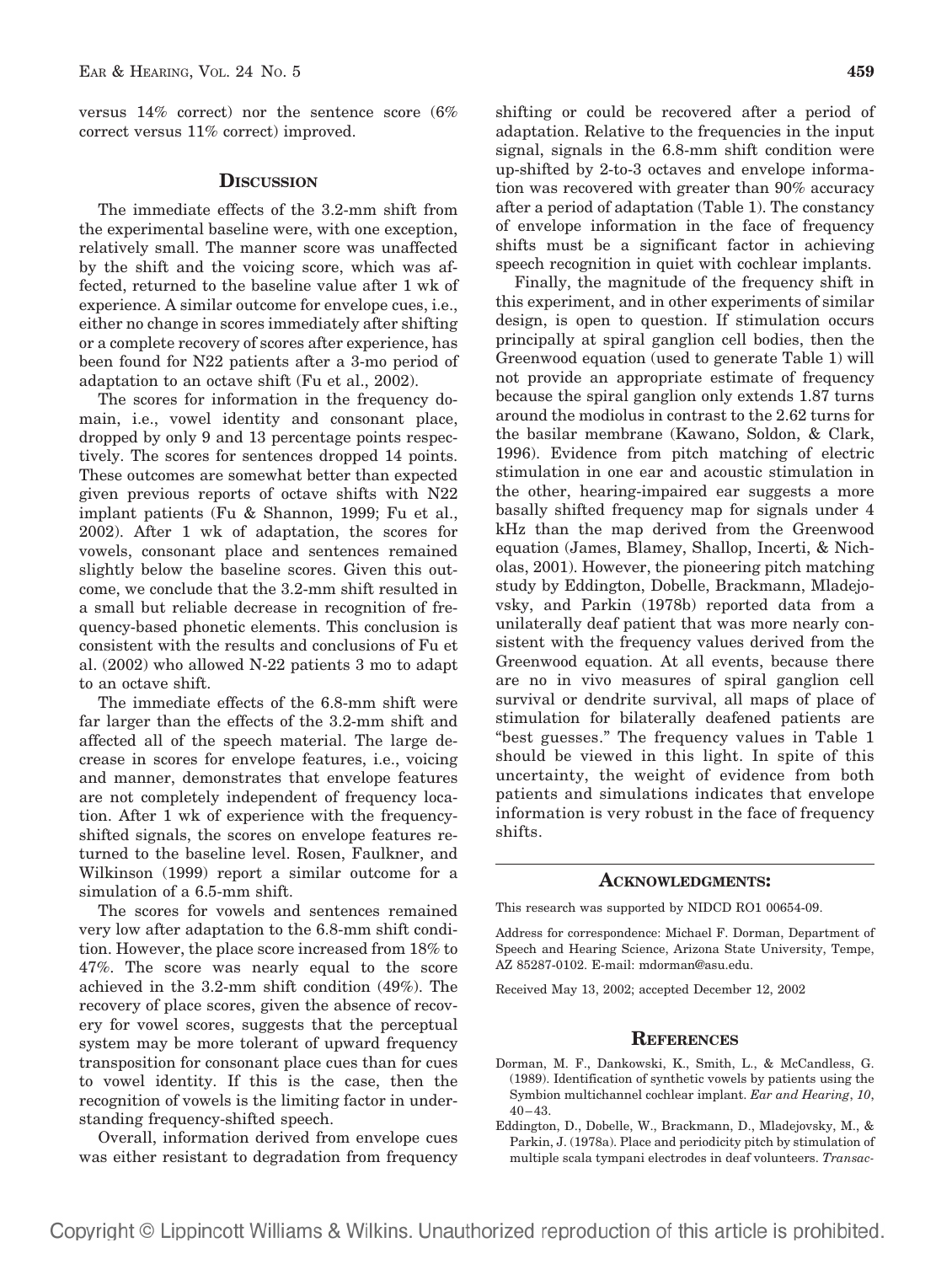versus 14% correct) nor the sentence score (6% correct versus 11% correct) improved.

#### **DISCUSSION**

The immediate effects of the 3.2-mm shift from the experimental baseline were, with one exception, relatively small. The manner score was unaffected by the shift and the voicing score, which was affected, returned to the baseline value after 1 wk of experience. A similar outcome for envelope cues, i.e., either no change in scores immediately after shifting or a complete recovery of scores after experience, has been found for N22 patients after a 3-mo period of adaptation to an octave shift (Fu et al., 2002).

The scores for information in the frequency domain, i.e., vowel identity and consonant place, dropped by only 9 and 13 percentage points respectively. The scores for sentences dropped 14 points. These outcomes are somewhat better than expected given previous reports of octave shifts with N22 implant patients (Fu & Shannon, 1999; Fu et al., 2002). After 1 wk of adaptation, the scores for vowels, consonant place and sentences remained slightly below the baseline scores. Given this outcome, we conclude that the 3.2-mm shift resulted in a small but reliable decrease in recognition of frequency-based phonetic elements. This conclusion is consistent with the results and conclusions of Fu et al. (2002) who allowed N-22 patients 3 mo to adapt to an octave shift.

The immediate effects of the 6.8-mm shift were far larger than the effects of the 3.2-mm shift and affected all of the speech material. The large decrease in scores for envelope features, i.e., voicing and manner, demonstrates that envelope features are not completely independent of frequency location. After 1 wk of experience with the frequencyshifted signals, the scores on envelope features returned to the baseline level. Rosen, Faulkner, and Wilkinson (1999) report a similar outcome for a simulation of a 6.5-mm shift.

The scores for vowels and sentences remained very low after adaptation to the 6.8-mm shift condition. However, the place score increased from 18% to 47%. The score was nearly equal to the score achieved in the 3.2-mm shift condition (49%). The recovery of place scores, given the absence of recovery for vowel scores, suggests that the perceptual system may be more tolerant of upward frequency transposition for consonant place cues than for cues to vowel identity. If this is the case, then the recognition of vowels is the limiting factor in understanding frequency-shifted speech.

Overall, information derived from envelope cues was either resistant to degradation from frequency

shifting or could be recovered after a period of adaptation. Relative to the frequencies in the input signal, signals in the 6.8-mm shift condition were up-shifted by 2-to-3 octaves and envelope information was recovered with greater than 90% accuracy after a period of adaptation (Table 1). The constancy of envelope information in the face of frequency shifts must be a significant factor in achieving speech recognition in quiet with cochlear implants.

Finally, the magnitude of the frequency shift in this experiment, and in other experiments of similar design, is open to question. If stimulation occurs principally at spiral ganglion cell bodies, then the Greenwood equation (used to generate Table 1) will not provide an appropriate estimate of frequency because the spiral ganglion only extends 1.87 turns around the modiolus in contrast to the 2.62 turns for the basilar membrane (Kawano, Soldon, & Clark, 1996). Evidence from pitch matching of electric stimulation in one ear and acoustic stimulation in the other, hearing-impaired ear suggests a more basally shifted frequency map for signals under 4 kHz than the map derived from the Greenwood equation (James, Blamey, Shallop, Incerti, & Nicholas, 2001). However, the pioneering pitch matching study by Eddington, Dobelle, Brackmann, Mladejovsky, and Parkin (1978b) reported data from a unilaterally deaf patient that was more nearly consistent with the frequency values derived from the Greenwood equation. At all events, because there are no in vivo measures of spiral ganglion cell survival or dendrite survival, all maps of place of stimulation for bilaterally deafened patients are "best guesses." The frequency values in Table 1 should be viewed in this light. In spite of this uncertainty, the weight of evidence from both patients and simulations indicates that envelope information is very robust in the face of frequency shifts.

#### **ACKNOWLEDGMENTS:**

This research was supported by NIDCD RO1 00654-09.

Address for correspondence: Michael F. Dorman, Department of Speech and Hearing Science, Arizona State University, Tempe, AZ 85287-0102. E-mail: mdorman@asu.edu.

Received May 13, 2002; accepted December 12, 2002

#### **REFERENCES**

- Dorman, M. F., Dankowski, K., Smith, L., & McCandless, G. (1989). Identification of synthetic vowels by patients using the Symbion multichannel cochlear implant. *Ear and Hearing*, *10*, 40–43.
- Eddington, D., Dobelle, W., Brackmann, D., Mladejovsky, M., & Parkin, J. (1978a). Place and periodicity pitch by stimulation of multiple scala tympani electrodes in deaf volunteers. *Transac-*